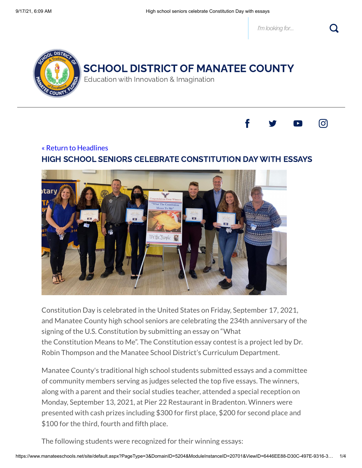*I'm looking for...*



## SCHOOL DISTRICT OF MANATEE COUNTY

Education with Innovation & Imagination



## « Return to [Headlines](https://www.manateeschools.net/site/default.aspx?PageType=14&DomainID=5204&ModuleInstanceID=20701&PageID=10848&ViewID=C83D46AC-74FE-4857-8C9A-5922A80225E2&IsMoreExpandedView=True&GroupByField=DisplayDate&GroupYear=2021&GroupMonth=9&Tag=) HIGH SCHOOL SENIORS CELEBRATE CONSTITUTION DAY WITH ESSAYS



Constitution Day is celebrated in the United States on Friday, September 17, 2021, and Manatee County high school seniors are celebrating the 234th anniversary of the signing of the U.S. Constitution by submitting an essay on "What the Constitution Means to Me". The Constitution essay contest is a project led by Dr. Robin Thompson and the Manatee School District's Curriculum Department.

Manatee County's traditional high school students submitted essays and a committee of community members serving as judges selected the top five essays. The winners, along with a parent and their social studies teacher, attended a special reception on Monday, September 13, 2021, at Pier 22 Restaurant in Bradenton. Winners were presented with cash prizes including \$300 for first place, \$200 for second place and \$100 for the third, fourth and fifth place.

The following students were recognized for their winning essays: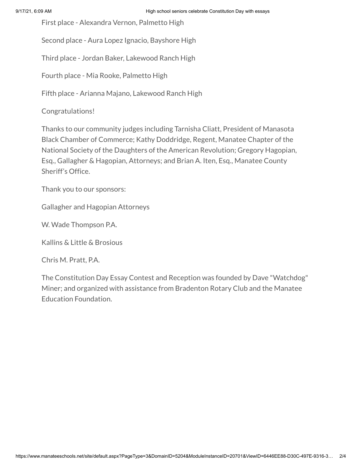First place - Alexandra Vernon, Palmetto High

Second place - Aura Lopez Ignacio, Bayshore High

Third place - Jordan Baker, Lakewood Ranch High

Fourth place - Mia Rooke, Palmetto High

Fifth place - Arianna Majano, Lakewood Ranch High

Congratulations!

Thanks to our community judges including Tarnisha Cliatt, President of Manasota Black Chamber of Commerce; Kathy Doddridge, Regent, Manatee Chapter of the National Society of the Daughters of the American Revolution; Gregory Hagopian, Esq., Gallagher & Hagopian, Attorneys; and Brian A. Iten, Esq., Manatee County Sheriff's Office.

Thank you to our sponsors:

Gallagher and Hagopian Attorneys

W. Wade Thompson P.A.

Kallins & Little & Brosious

Chris M. Pratt, P.A.

The Constitution Day Essay Contest and Reception was founded by Dave "Watchdog" Miner; and organized with assistance from Bradenton Rotary Club and the Manatee Education Foundation.